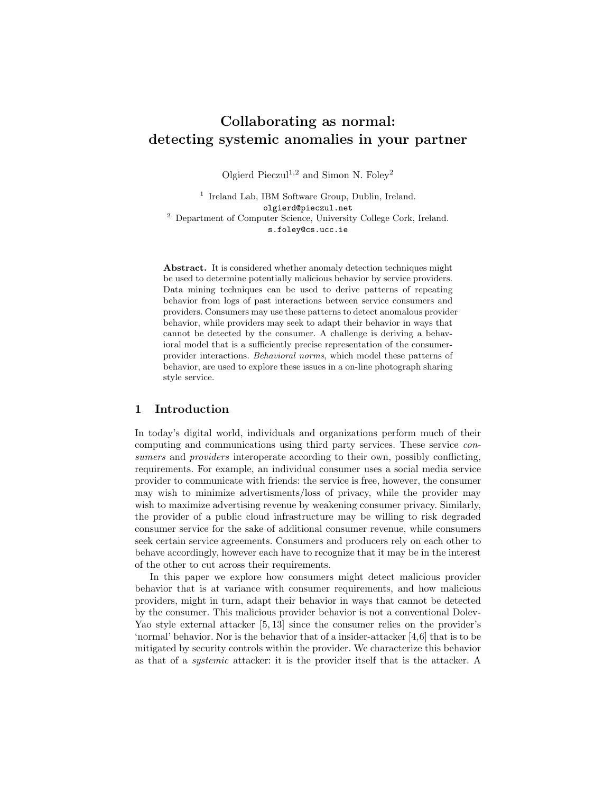# Collaborating as normal: detecting systemic anomalies in your partner

Olgierd Pieczul<sup>1,2</sup> and Simon N. Foley<sup>2</sup>

<sup>1</sup> Ireland Lab, IBM Software Group, Dublin, Ireland. olgierd@pieczul.net <sup>2</sup> Department of Computer Science, University College Cork, Ireland. s.foley@cs.ucc.ie

Abstract. It is considered whether anomaly detection techniques might be used to determine potentially malicious behavior by service providers. Data mining techniques can be used to derive patterns of repeating behavior from logs of past interactions between service consumers and providers. Consumers may use these patterns to detect anomalous provider behavior, while providers may seek to adapt their behavior in ways that cannot be detected by the consumer. A challenge is deriving a behavioral model that is a sufficiently precise representation of the consumerprovider interactions. Behavioral norms, which model these patterns of behavior, are used to explore these issues in a on-line photograph sharing style service.

#### 1 Introduction

In today's digital world, individuals and organizations perform much of their computing and communications using third party services. These service consumers and *providers* interoperate according to their own, possibly conflicting, requirements. For example, an individual consumer uses a social media service provider to communicate with friends: the service is free, however, the consumer may wish to minimize advertisments/loss of privacy, while the provider may wish to maximize advertising revenue by weakening consumer privacy. Similarly, the provider of a public cloud infrastructure may be willing to risk degraded consumer service for the sake of additional consumer revenue, while consumers seek certain service agreements. Consumers and producers rely on each other to behave accordingly, however each have to recognize that it may be in the interest of the other to cut across their requirements.

In this paper we explore how consumers might detect malicious provider behavior that is at variance with consumer requirements, and how malicious providers, might in turn, adapt their behavior in ways that cannot be detected by the consumer. This malicious provider behavior is not a conventional Dolev-Yao style external attacker [5, 13] since the consumer relies on the provider's 'normal' behavior. Nor is the behavior that of a insider-attacker [4,6] that is to be mitigated by security controls within the provider. We characterize this behavior as that of a systemic attacker: it is the provider itself that is the attacker. A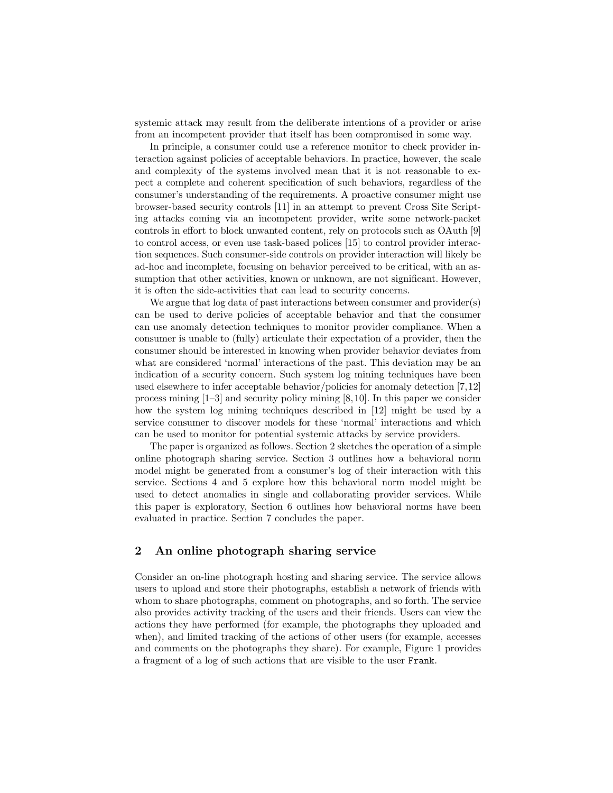systemic attack may result from the deliberate intentions of a provider or arise from an incompetent provider that itself has been compromised in some way.

In principle, a consumer could use a reference monitor to check provider interaction against policies of acceptable behaviors. In practice, however, the scale and complexity of the systems involved mean that it is not reasonable to expect a complete and coherent specification of such behaviors, regardless of the consumer's understanding of the requirements. A proactive consumer might use browser-based security controls [11] in an attempt to prevent Cross Site Scripting attacks coming via an incompetent provider, write some network-packet controls in effort to block unwanted content, rely on protocols such as OAuth [9] to control access, or even use task-based polices [15] to control provider interaction sequences. Such consumer-side controls on provider interaction will likely be ad-hoc and incomplete, focusing on behavior perceived to be critical, with an assumption that other activities, known or unknown, are not significant. However, it is often the side-activities that can lead to security concerns.

We argue that  $log$  data of past interactions between consumer and provider(s) can be used to derive policies of acceptable behavior and that the consumer can use anomaly detection techniques to monitor provider compliance. When a consumer is unable to (fully) articulate their expectation of a provider, then the consumer should be interested in knowing when provider behavior deviates from what are considered 'normal' interactions of the past. This deviation may be an indication of a security concern. Such system log mining techniques have been used elsewhere to infer acceptable behavior/policies for anomaly detection [7,12] process mining  $[1-3]$  and security policy mining  $[8,10]$ . In this paper we consider how the system log mining techniques described in [12] might be used by a service consumer to discover models for these 'normal' interactions and which can be used to monitor for potential systemic attacks by service providers.

The paper is organized as follows. Section 2 sketches the operation of a simple online photograph sharing service. Section 3 outlines how a behavioral norm model might be generated from a consumer's log of their interaction with this service. Sections 4 and 5 explore how this behavioral norm model might be used to detect anomalies in single and collaborating provider services. While this paper is exploratory, Section 6 outlines how behavioral norms have been evaluated in practice. Section 7 concludes the paper.

#### 2 An online photograph sharing service

Consider an on-line photograph hosting and sharing service. The service allows users to upload and store their photographs, establish a network of friends with whom to share photographs, comment on photographs, and so forth. The service also provides activity tracking of the users and their friends. Users can view the actions they have performed (for example, the photographs they uploaded and when), and limited tracking of the actions of other users (for example, accesses and comments on the photographs they share). For example, Figure 1 provides a fragment of a log of such actions that are visible to the user Frank.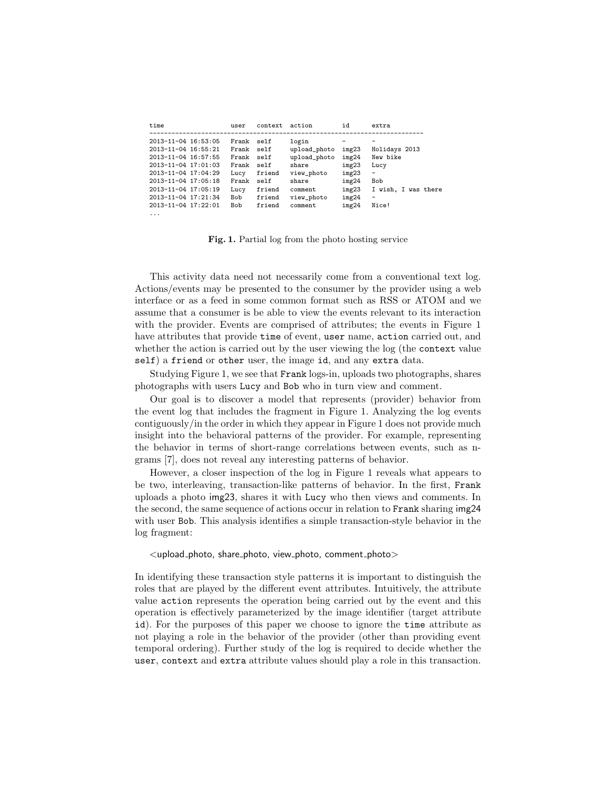| time                                                                                                                                                                 | user                                                        | context                        | action                                                                | id                                        | extra                                                         |
|----------------------------------------------------------------------------------------------------------------------------------------------------------------------|-------------------------------------------------------------|--------------------------------|-----------------------------------------------------------------------|-------------------------------------------|---------------------------------------------------------------|
| $2013 - 11 - 04$ 16:53:05<br>$2013 - 11 - 04$ 16:55:21<br>$2013 - 11 - 04$ 16:57:55<br>$2013 - 11 - 04$ 17:01:03<br>2013-11-04 17:04:29<br>$2013 - 11 - 04$ 17:05:18 | Frank self<br>Frank self<br>Frank<br>Frank<br>Lucy<br>Frank | self<br>self<br>friend<br>self | login<br>upload_photo<br>upload_photo<br>share<br>view_photo<br>share | img23<br>img24<br>img23<br>img23<br>img24 | Holidays 2013<br>New bike<br>Lucy<br>$\qquad \qquad -$<br>Bob |
| $2013 - 11 - 04$ 17:05:19<br>$2013 - 11 - 04$ 17:21:34<br>$2013 - 11 - 04$ 17:22:01<br>$\cdots$                                                                      | Lucy<br><b>Bob</b><br><b>Bob</b>                            | friend<br>friend<br>friend     | comment<br>view_photo<br>comment                                      | img23<br>img24<br>img24                   | I wish, I was there<br>$\overline{\phantom{0}}$<br>Nice!      |

Fig. 1. Partial log from the photo hosting service

This activity data need not necessarily come from a conventional text log. Actions/events may be presented to the consumer by the provider using a web interface or as a feed in some common format such as RSS or ATOM and we assume that a consumer is be able to view the events relevant to its interaction with the provider. Events are comprised of attributes; the events in Figure 1 have attributes that provide time of event, user name, action carried out, and whether the action is carried out by the user viewing the log (the context value self) a friend or other user, the image id, and any extra data.

Studying Figure 1, we see that Frank logs-in, uploads two photographs, shares photographs with users Lucy and Bob who in turn view and comment.

Our goal is to discover a model that represents (provider) behavior from the event log that includes the fragment in Figure 1. Analyzing the log events contiguously/in the order in which they appear in Figure 1 does not provide much insight into the behavioral patterns of the provider. For example, representing the behavior in terms of short-range correlations between events, such as ngrams [7], does not reveal any interesting patterns of behavior.

However, a closer inspection of the log in Figure 1 reveals what appears to be two, interleaving, transaction-like patterns of behavior. In the first, Frank uploads a photo img23, shares it with Lucy who then views and comments. In the second, the same sequence of actions occur in relation to Frank sharing img24 with user Bob. This analysis identifies a simple transaction-style behavior in the log fragment:

<upload photo, share photo, view photo, comment photo>

In identifying these transaction style patterns it is important to distinguish the roles that are played by the different event attributes. Intuitively, the attribute value action represents the operation being carried out by the event and this operation is effectively parameterized by the image identifier (target attribute id). For the purposes of this paper we choose to ignore the time attribute as not playing a role in the behavior of the provider (other than providing event temporal ordering). Further study of the log is required to decide whether the user, context and extra attribute values should play a role in this transaction.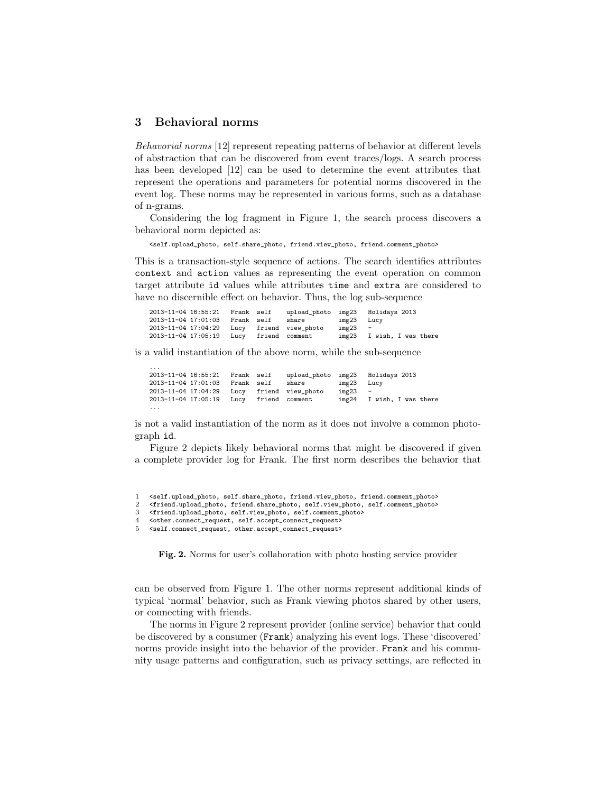### 3 Behavioral norms

Behavorial norms [12] represent repeating patterns of behavior at different levels of abstraction that can be discovered from event traces/logs. A search process has been developed [12] can be used to determine the event attributes that represent the operations and parameters for potential norms discovered in the event log. These norms may be represented in various forms, such as a database of n-grams.

Considering the log fragment in Figure 1, the search process discovers a behavioral norm depicted as:

<self.upload\_photo, self.share\_photo, friend.view\_photo, friend.comment\_photo>

This is a transaction-style sequence of actions. The search identifies attributes context and action values as representing the event operation on common target attribute id values while attributes time and extra are considered to have no discernible effect on behavior. Thus, the log sub-sequence

| 2013-11-04 16:55:21 Frank self             |  |       |            | upload_photo img23 Holidays 2013 |
|--------------------------------------------|--|-------|------------|----------------------------------|
| 2013-11-04 17:01:03 Frank self             |  | share | img23 Lucy |                                  |
| 2013-11-04 17:04:29 Lucy friend view_photo |  |       | img23 -    |                                  |
| 2013-11-04 17:05:19 Lucy friend comment    |  |       |            | img23 I wish, I was there        |

is a valid instantiation of the above norm, while the sub-sequence

| $\cdots$            |            |                        |           |                           |
|---------------------|------------|------------------------|-----------|---------------------------|
| 2013-11-04 16:55:21 | Frank self | upload_photo img23     |           | Holidays 2013             |
| 2013-11-04 17:01:03 | Frank self | share                  | img23     | Lucy                      |
| 2013-11-04 17:04:29 |            | Lucy friend view_photo | $img23 -$ |                           |
| 2013-11-04 17:05:19 |            | Lucy friend comment    |           | img24 I wish, I was there |
| $\cdots$            |            |                        |           |                           |

is not a valid instantiation of the norm as it does not involve a common photograph id.

Figure 2 depicts likely behavioral norms that might be discovered if given a complete provider log for Frank. The first norm describes the behavior that

2 <friend.upload\_photo, friend.share\_photo, self.view\_photo, self.comment\_photo> <friend.upload\_photo, self.view\_photo, self.comment\_photo>

```
3 <friend.upload_photo, self.view_photo, self.comment_photo>
```

```
4 <other.connect_request, self.accept_connect_request><br>5 <self.connect request. other.accept connect request>
```

```
5 <self.connect_request, other.accept_connect_request>
```
Fig. 2. Norms for user's collaboration with photo hosting service provider

can be observed from Figure 1. The other norms represent additional kinds of typical 'normal' behavior, such as Frank viewing photos shared by other users, or connecting with friends.

The norms in Figure 2 represent provider (online service) behavior that could be discovered by a consumer (Frank) analyzing his event logs. These 'discovered' norms provide insight into the behavior of the provider. Frank and his community usage patterns and configuration, such as privacy settings, are reflected in

<sup>1</sup> <self.upload\_photo, self.share\_photo, friend.view\_photo, friend.comment\_photo>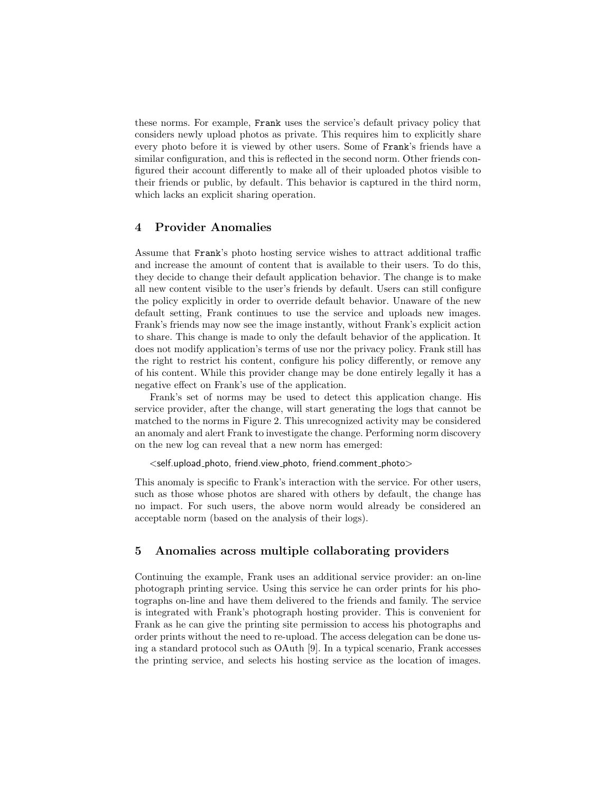these norms. For example, Frank uses the service's default privacy policy that considers newly upload photos as private. This requires him to explicitly share every photo before it is viewed by other users. Some of Frank's friends have a similar configuration, and this is reflected in the second norm. Other friends configured their account differently to make all of their uploaded photos visible to their friends or public, by default. This behavior is captured in the third norm, which lacks an explicit sharing operation.

#### 4 Provider Anomalies

Assume that Frank's photo hosting service wishes to attract additional traffic and increase the amount of content that is available to their users. To do this, they decide to change their default application behavior. The change is to make all new content visible to the user's friends by default. Users can still configure the policy explicitly in order to override default behavior. Unaware of the new default setting, Frank continues to use the service and uploads new images. Frank's friends may now see the image instantly, without Frank's explicit action to share. This change is made to only the default behavior of the application. It does not modify application's terms of use nor the privacy policy. Frank still has the right to restrict his content, configure his policy differently, or remove any of his content. While this provider change may be done entirely legally it has a negative effect on Frank's use of the application.

Frank's set of norms may be used to detect this application change. His service provider, after the change, will start generating the logs that cannot be matched to the norms in Figure 2. This unrecognized activity may be considered an anomaly and alert Frank to investigate the change. Performing norm discovery on the new log can reveal that a new norm has emerged:

<self.upload\_photo, friend.view\_photo, friend.comment\_photo>

This anomaly is specific to Frank's interaction with the service. For other users, such as those whose photos are shared with others by default, the change has no impact. For such users, the above norm would already be considered an acceptable norm (based on the analysis of their logs).

#### 5 Anomalies across multiple collaborating providers

Continuing the example, Frank uses an additional service provider: an on-line photograph printing service. Using this service he can order prints for his photographs on-line and have them delivered to the friends and family. The service is integrated with Frank's photograph hosting provider. This is convenient for Frank as he can give the printing site permission to access his photographs and order prints without the need to re-upload. The access delegation can be done using a standard protocol such as OAuth [9]. In a typical scenario, Frank accesses the printing service, and selects his hosting service as the location of images.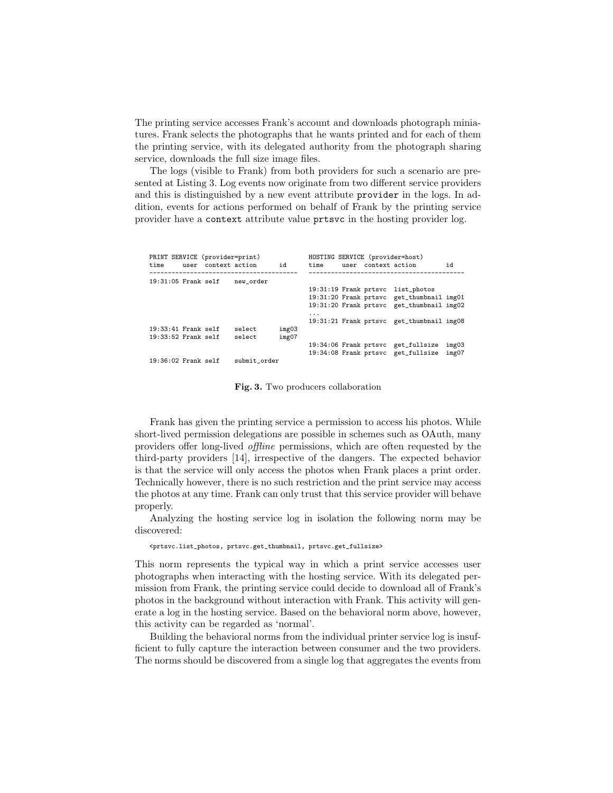The printing service accesses Frank's account and downloads photograph miniatures. Frank selects the photographs that he wants printed and for each of them the printing service, with its delegated authority from the photograph sharing service, downloads the full size image files.

The logs (visible to Frank) from both providers for such a scenario are presented at Listing 3. Log events now originate from two different service providers and this is distinguished by a new event attribute provider in the logs. In addition, events for actions performed on behalf of Frank by the printing service provider have a context attribute value prtsvc in the hosting provider log.

| PRINT SERVICE (provider=print) |                     |       | HOSTING SERVICE (provider=host) |                     |                                           |       |
|--------------------------------|---------------------|-------|---------------------------------|---------------------|-------------------------------------------|-------|
| time                           | user context action | id    | time                            | user context action |                                           | id    |
| $19:31:05$ Frank self          | new order           |       |                                 |                     |                                           |       |
|                                |                     |       |                                 |                     | 19:31:19 Frank prtsvc list_photos         |       |
|                                |                     |       |                                 |                     | 19:31:20 Frank prtsvc get_thumbnail img01 |       |
|                                |                     |       |                                 |                     | 19:31:20 Frank prtsvc get_thumbnail img02 |       |
|                                |                     |       | .                               |                     |                                           |       |
|                                |                     |       |                                 |                     | 19:31:21 Frank prtsvc get_thumbnail img08 |       |
| $19:33:41$ Frank self          | select              | img03 |                                 |                     |                                           |       |
| $19:33:52$ Frank self          | select              | img07 |                                 |                     |                                           |       |
|                                |                     |       |                                 |                     | 19:34:06 Frank prtsvc get_fullsize        | img03 |
|                                |                     |       |                                 |                     | 19:34:08 Frank prtsvc get_fullsize        | img07 |
| $19:36:02$ Frank self          | submit order        |       |                                 |                     |                                           |       |

Fig. 3. Two producers collaboration

Frank has given the printing service a permission to access his photos. While short-lived permission delegations are possible in schemes such as OAuth, many providers offer long-lived offline permissions, which are often requested by the third-party providers [14], irrespective of the dangers. The expected behavior is that the service will only access the photos when Frank places a print order. Technically however, there is no such restriction and the print service may access the photos at any time. Frank can only trust that this service provider will behave properly.

Analyzing the hosting service log in isolation the following norm may be discovered:

<prtsvc.list\_photos, prtsvc.get\_thumbnail, prtsvc.get\_fullsize>

This norm represents the typical way in which a print service accesses user photographs when interacting with the hosting service. With its delegated permission from Frank, the printing service could decide to download all of Frank's photos in the background without interaction with Frank. This activity will generate a log in the hosting service. Based on the behavioral norm above, however, this activity can be regarded as 'normal'.

Building the behavioral norms from the individual printer service log is insufficient to fully capture the interaction between consumer and the two providers. The norms should be discovered from a single log that aggregates the events from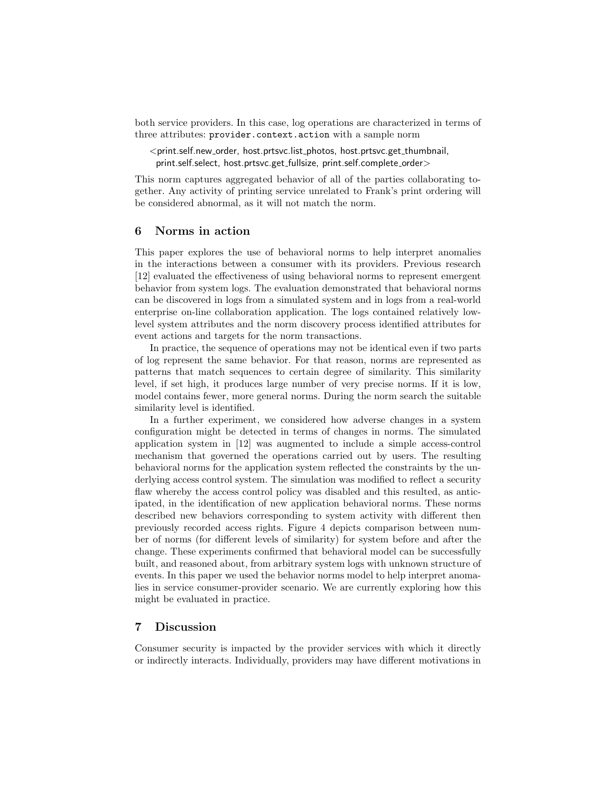both service providers. In this case, log operations are characterized in terms of three attributes: provider.context.action with a sample norm

<print.self.new order, host.prtsvc.list photos, host.prtsvc.get thumbnail, print.self.select, host.prtsvc.get\_fullsize, print.self.complete\_order>

This norm captures aggregated behavior of all of the parties collaborating together. Any activity of printing service unrelated to Frank's print ordering will be considered abnormal, as it will not match the norm.

## 6 Norms in action

This paper explores the use of behavioral norms to help interpret anomalies in the interactions between a consumer with its providers. Previous research [12] evaluated the effectiveness of using behavioral norms to represent emergent behavior from system logs. The evaluation demonstrated that behavioral norms can be discovered in logs from a simulated system and in logs from a real-world enterprise on-line collaboration application. The logs contained relatively lowlevel system attributes and the norm discovery process identified attributes for event actions and targets for the norm transactions.

In practice, the sequence of operations may not be identical even if two parts of log represent the same behavior. For that reason, norms are represented as patterns that match sequences to certain degree of similarity. This similarity level, if set high, it produces large number of very precise norms. If it is low, model contains fewer, more general norms. During the norm search the suitable similarity level is identified.

In a further experiment, we considered how adverse changes in a system configuration might be detected in terms of changes in norms. The simulated application system in [12] was augmented to include a simple access-control mechanism that governed the operations carried out by users. The resulting behavioral norms for the application system reflected the constraints by the underlying access control system. The simulation was modified to reflect a security flaw whereby the access control policy was disabled and this resulted, as anticipated, in the identification of new application behavioral norms. These norms described new behaviors corresponding to system activity with different then previously recorded access rights. Figure 4 depicts comparison between number of norms (for different levels of similarity) for system before and after the change. These experiments confirmed that behavioral model can be successfully built, and reasoned about, from arbitrary system logs with unknown structure of events. In this paper we used the behavior norms model to help interpret anomalies in service consumer-provider scenario. We are currently exploring how this might be evaluated in practice.

## 7 Discussion

Consumer security is impacted by the provider services with which it directly or indirectly interacts. Individually, providers may have different motivations in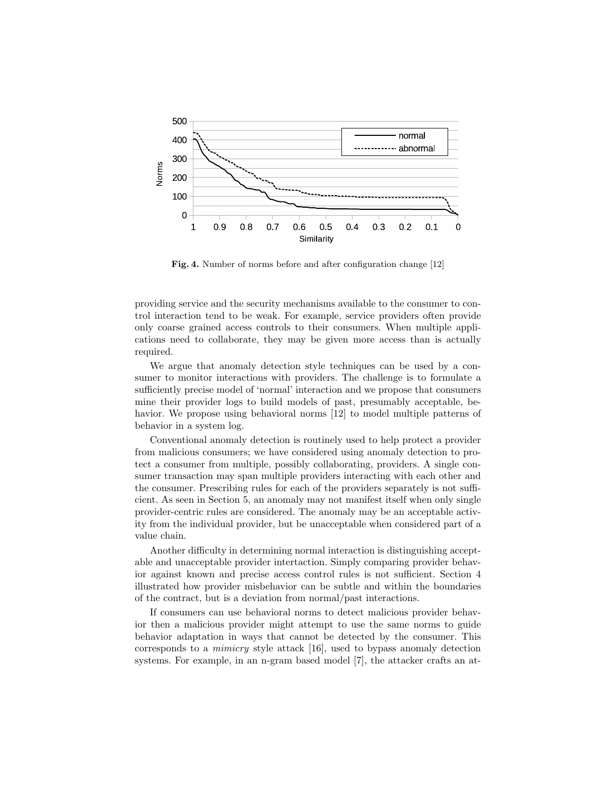

Fig. 4. Number of norms before and after configuration change [12]

providing service and the security mechanisms available to the consumer to control interaction tend to be weak. For example, service providers often provide only coarse grained access controls to their consumers. When multiple applications need to collaborate, they may be given more access than is actually required.

We argue that anomaly detection style techniques can be used by a consumer to monitor interactions with providers. The challenge is to formulate a sufficiently precise model of 'normal' interaction and we propose that consumers mine their provider logs to build models of past, presumably acceptable, behavior. We propose using behavioral norms [12] to model multiple patterns of behavior in a system log.

Conventional anomaly detection is routinely used to help protect a provider from malicious consumers; we have considered using anomaly detection to protect a consumer from multiple, possibly collaborating, providers. A single consumer transaction may span multiple providers interacting with each other and the consumer. Prescribing rules for each of the providers separately is not sufficient. As seen in Section 5, an anomaly may not manifest itself when only single provider-centric rules are considered. The anomaly may be an acceptable activity from the individual provider, but be unacceptable when considered part of a value chain.

Another difficulty in determining normal interaction is distinguishing acceptable and unacceptable provider intertaction. Simply comparing provider behavior against known and precise access control rules is not sufficient. Section 4 illustrated how provider misbehavior can be subtle and within the boundaries of the contract, but is a deviation from normal/past interactions.

If consumers can use behavioral norms to detect malicious provider behavior then a malicious provider might attempt to use the same norms to guide behavior adaptation in ways that cannot be detected by the consumer. This corresponds to a mimicry style attack [16], used to bypass anomaly detection systems. For example, in an n-gram based model [7], the attacker crafts an at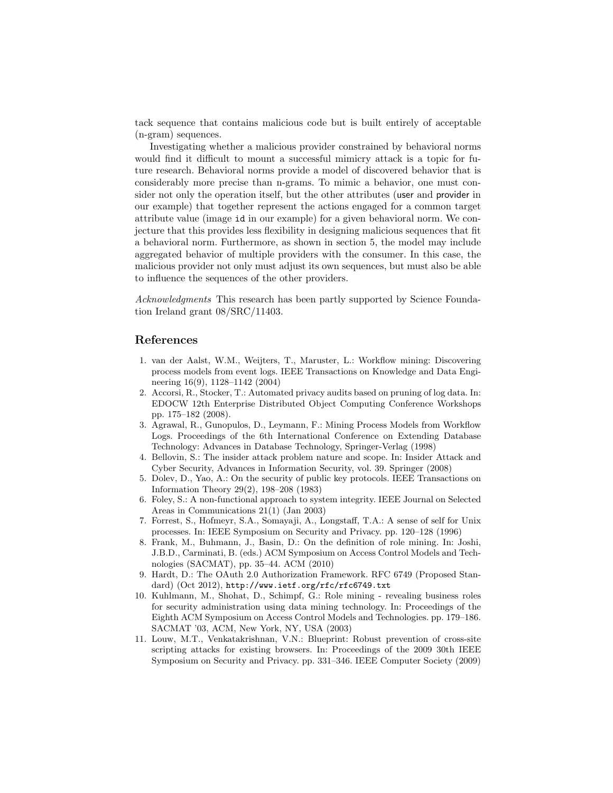tack sequence that contains malicious code but is built entirely of acceptable (n-gram) sequences.

Investigating whether a malicious provider constrained by behavioral norms would find it difficult to mount a successful mimicry attack is a topic for future research. Behavioral norms provide a model of discovered behavior that is considerably more precise than n-grams. To mimic a behavior, one must consider not only the operation itself, but the other attributes (user and provider in our example) that together represent the actions engaged for a common target attribute value (image id in our example) for a given behavioral norm. We conjecture that this provides less flexibility in designing malicious sequences that fit a behavioral norm. Furthermore, as shown in section 5, the model may include aggregated behavior of multiple providers with the consumer. In this case, the malicious provider not only must adjust its own sequences, but must also be able to influence the sequences of the other providers.

Acknowledgments This research has been partly supported by Science Foundation Ireland grant 08/SRC/11403.

#### References

- 1. van der Aalst, W.M., Weijters, T., Maruster, L.: Workflow mining: Discovering process models from event logs. IEEE Transactions on Knowledge and Data Engineering 16(9), 1128–1142 (2004)
- 2. Accorsi, R., Stocker, T.: Automated privacy audits based on pruning of log data. In: EDOCW 12th Enterprise Distributed Object Computing Conference Workshops pp. 175–182 (2008).
- 3. Agrawal, R., Gunopulos, D., Leymann, F.: Mining Process Models from Workflow Logs. Proceedings of the 6th International Conference on Extending Database Technology: Advances in Database Technology, Springer-Verlag (1998)
- 4. Bellovin, S.: The insider attack problem nature and scope. In: Insider Attack and Cyber Security, Advances in Information Security, vol. 39. Springer (2008)
- 5. Dolev, D., Yao, A.: On the security of public key protocols. IEEE Transactions on Information Theory 29(2), 198–208 (1983)
- 6. Foley, S.: A non-functional approach to system integrity. IEEE Journal on Selected Areas in Communications 21(1) (Jan 2003)
- 7. Forrest, S., Hofmeyr, S.A., Somayaji, A., Longstaff, T.A.: A sense of self for Unix processes. In: IEEE Symposium on Security and Privacy. pp. 120–128 (1996)
- 8. Frank, M., Buhmann, J., Basin, D.: On the definition of role mining. In: Joshi, J.B.D., Carminati, B. (eds.) ACM Symposium on Access Control Models and Technologies (SACMAT), pp. 35–44. ACM (2010)
- 9. Hardt, D.: The OAuth 2.0 Authorization Framework. RFC 6749 (Proposed Standard) (Oct 2012), http://www.ietf.org/rfc/rfc6749.txt
- 10. Kuhlmann, M., Shohat, D., Schimpf, G.: Role mining revealing business roles for security administration using data mining technology. In: Proceedings of the Eighth ACM Symposium on Access Control Models and Technologies. pp. 179–186. SACMAT '03, ACM, New York, NY, USA (2003)
- 11. Louw, M.T., Venkatakrishnan, V.N.: Blueprint: Robust prevention of cross-site scripting attacks for existing browsers. In: Proceedings of the 2009 30th IEEE Symposium on Security and Privacy. pp. 331–346. IEEE Computer Society (2009)